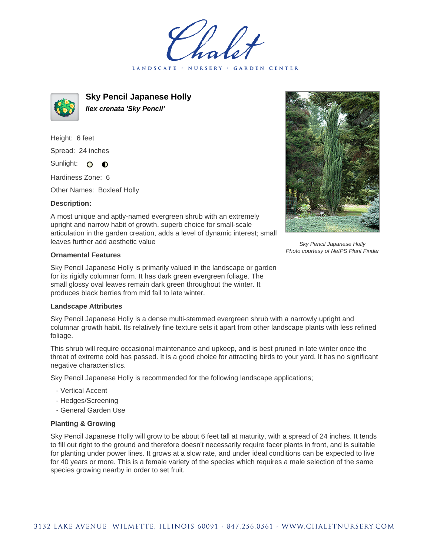LANDSCAPE · GARDEN CENTER



**Sky Pencil Japanese Holly Ilex crenata 'Sky Pencil'**

Height: 6 feet Spread: 24 inches Sunlight: O

Hardiness Zone: 6

Other Names: Boxleaf Holly

 $\bullet$ 

## **Description:**

A most unique and aptly-named evergreen shrub with an extremely upright and narrow habit of growth, superb choice for small-scale articulation in the garden creation, adds a level of dynamic interest; small leaves further add aesthetic value

## **Ornamental Features**

Sky Pencil Japanese Holly is primarily valued in the landscape or garden for its rigidly columnar form. It has dark green evergreen foliage. The small glossy oval leaves remain dark green throughout the winter. It produces black berries from mid fall to late winter.

## **Landscape Attributes**

Sky Pencil Japanese Holly is a dense multi-stemmed evergreen shrub with a narrowly upright and columnar growth habit. Its relatively fine texture sets it apart from other landscape plants with less refined foliage.

This shrub will require occasional maintenance and upkeep, and is best pruned in late winter once the threat of extreme cold has passed. It is a good choice for attracting birds to your yard. It has no significant negative characteristics.

Sky Pencil Japanese Holly is recommended for the following landscape applications;

- Vertical Accent
- Hedges/Screening
- General Garden Use

## **Planting & Growing**

Sky Pencil Japanese Holly will grow to be about 6 feet tall at maturity, with a spread of 24 inches. It tends to fill out right to the ground and therefore doesn't necessarily require facer plants in front, and is suitable for planting under power lines. It grows at a slow rate, and under ideal conditions can be expected to live for 40 years or more. This is a female variety of the species which requires a male selection of the same species growing nearby in order to set fruit.



Sky Pencil Japanese Holly Photo courtesy of NetPS Plant Finder